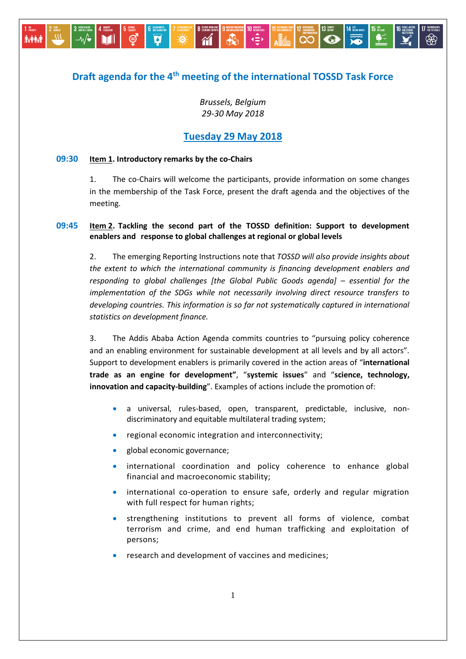# **Draft agenda for the 4th meeting of the international TOSSD Task Force**

*Brussels, Belgium 29-30 May 2018*

## **Tuesday 29 May 2018**

### **09:30 Item 1. Introductory remarks by the co-Chairs**

ඁේ

**h**ii

 $-\sqrt{\bullet}$ 

**JY PAT** 

1. The co-Chairs will welcome the participants, provide information on some changes in the membership of the Task Force, present the draft agenda and the objectives of the meeting.

### **09:45 Item 2. Tackling the second part of the TOSSD definition: Support to development enablers and response to global challenges at regional or global levels**

2. The emerging Reporting Instructions note that *TOSSD will also provide insights about the extent to which the international community is financing development enablers and responding to global challenges [the Global Public Goods agenda] – essential for the implementation of the SDGs while not necessarily involving direct resource transfers to developing countries. This information is so far not systematically captured in international statistics on development finance.* 

3. The Addis Ababa Action Agenda commits countries to "pursuing policy coherence and an enabling environment for sustainable development at all levels and by all actors". Support to development enablers is primarily covered in the action areas of "**international trade as an engine for development"**, "**systemic issues**" and "**science, technology, innovation and capacity-building**". Examples of actions include the promotion of:

- a universal, rules-based, open, transparent, predictable, inclusive, nondiscriminatory and equitable multilateral trading system;
- regional economic integration and interconnectivity;
- global economic governance;
- international coordination and policy coherence to enhance global financial and macroeconomic stability;
- international co-operation to ensure safe, orderly and regular migration with full respect for human rights;
- strengthening institutions to prevent all forms of violence, combat terrorism and crime, and end human trafficking and exploitation of persons;
- research and development of vaccines and medicines;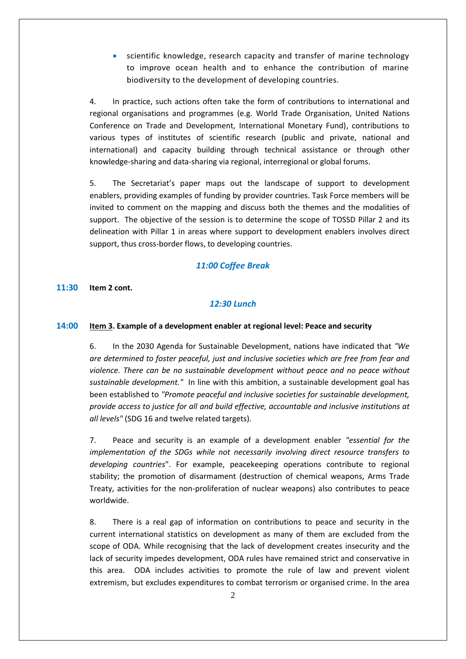scientific knowledge, research capacity and transfer of marine technology to improve ocean health and to enhance the contribution of marine biodiversity to the development of developing countries.

4. In practice, such actions often take the form of contributions to international and regional organisations and programmes (e.g. World Trade Organisation, United Nations Conference on Trade and Development, International Monetary Fund), contributions to various types of institutes of scientific research (public and private, national and international) and capacity building through technical assistance or through other knowledge-sharing and data-sharing via regional, interregional or global forums.

5. The Secretariat's paper maps out the landscape of support to development enablers, providing examples of funding by provider countries. Task Force members will be invited to comment on the mapping and discuss both the themes and the modalities of support. The objective of the session is to determine the scope of TOSSD Pillar 2 and its delineation with Pillar 1 in areas where support to development enablers involves direct support, thus cross-border flows, to developing countries.

### *11:00 Coffee Break*

**11:30 Item 2 cont.**

### *12:30 Lunch*

### **14:00 Item 3. Example of a development enabler at regional level: Peace and security**

6. In the 2030 Agenda for Sustainable Development, nations have indicated that *"We are determined to foster peaceful, just and inclusive societies which are free from fear and violence. There can be no sustainable development without peace and no peace without sustainable development."* In line with this ambition, a sustainable development goal has been established to *"Promote peaceful and inclusive societies for sustainable development, provide access to justice for all and build effective, accountable and inclusive institutions at all levels"* (SDG 16 and twelve related targets).

7. Peace and security is an example of a development enabler *"essential for the implementation of the SDGs while not necessarily involving direct resource transfers to developing countries*". For example, peacekeeping operations contribute to regional stability; the promotion of disarmament (destruction of chemical weapons, Arms Trade Treaty, activities for the non-proliferation of nuclear weapons) also contributes to peace worldwide.

8. There is a real gap of information on contributions to peace and security in the current international statistics on development as many of them are excluded from the scope of ODA. While recognising that the lack of development creates insecurity and the lack of security impedes development, ODA rules have remained strict and conservative in this area. ODA includes activities to promote the rule of law and prevent violent extremism, but excludes expenditures to combat terrorism or organised crime. In the area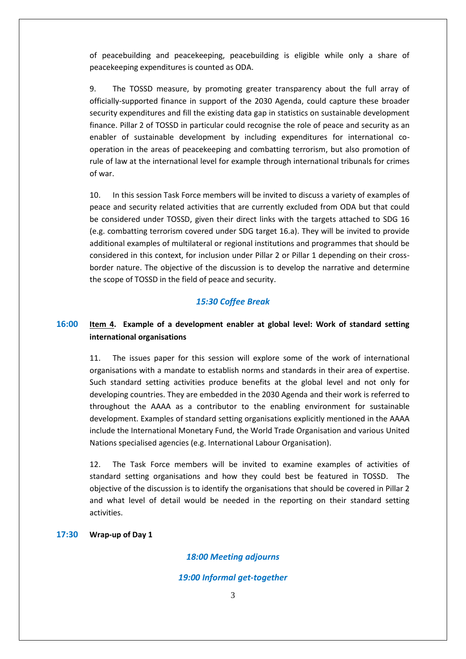of peacebuilding and peacekeeping, peacebuilding is eligible while only a share of peacekeeping expenditures is counted as ODA.

9. The TOSSD measure, by promoting greater transparency about the full array of officially-supported finance in support of the 2030 Agenda, could capture these broader security expenditures and fill the existing data gap in statistics on sustainable development finance. Pillar 2 of TOSSD in particular could recognise the role of peace and security as an enabler of sustainable development by including expenditures for international cooperation in the areas of peacekeeping and combatting terrorism, but also promotion of rule of law at the international level for example through international tribunals for crimes of war.

10. In this session Task Force members will be invited to discuss a variety of examples of peace and security related activities that are currently excluded from ODA but that could be considered under TOSSD, given their direct links with the targets attached to SDG 16 (e.g. combatting terrorism covered under SDG target 16.a). They will be invited to provide additional examples of multilateral or regional institutions and programmes that should be considered in this context, for inclusion under Pillar 2 or Pillar 1 depending on their crossborder nature. The objective of the discussion is to develop the narrative and determine the scope of TOSSD in the field of peace and security.

### *15:30 Coffee Break*

## **16:00 Item 4. Example of a development enabler at global level: Work of standard setting international organisations**

11. The issues paper for this session will explore some of the work of international organisations with a mandate to establish norms and standards in their area of expertise. Such standard setting activities produce benefits at the global level and not only for developing countries. They are embedded in the 2030 Agenda and their work is referred to throughout the AAAA as a contributor to the enabling environment for sustainable development. Examples of standard setting organisations explicitly mentioned in the AAAA include the International Monetary Fund, the World Trade Organisation and various United Nations specialised agencies (e.g. International Labour Organisation).

12. The Task Force members will be invited to examine examples of activities of standard setting organisations and how they could best be featured in TOSSD. The objective of the discussion is to identify the organisations that should be covered in Pillar 2 and what level of detail would be needed in the reporting on their standard setting activities.

### **17:30 Wrap-up of Day 1**

### *18:00 Meeting adjourns*

#### *19:00 Informal get-together*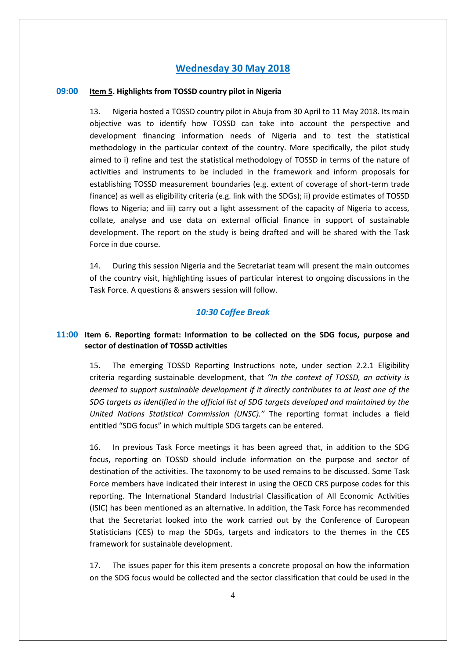## **Wednesday 30 May 2018**

### **09:00 Item 5. Highlights from TOSSD country pilot in Nigeria**

13. Nigeria hosted a TOSSD country pilot in Abuja from 30 April to 11 May 2018. Its main objective was to identify how TOSSD can take into account the perspective and development financing information needs of Nigeria and to test the statistical methodology in the particular context of the country. More specifically, the pilot study aimed to i) refine and test the statistical methodology of TOSSD in terms of the nature of activities and instruments to be included in the framework and inform proposals for establishing TOSSD measurement boundaries (e.g. extent of coverage of short-term trade finance) as well as eligibility criteria (e.g. link with the SDGs); ii) provide estimates of TOSSD flows to Nigeria; and iii) carry out a light assessment of the capacity of Nigeria to access, collate, analyse and use data on external official finance in support of sustainable development. The report on the study is being drafted and will be shared with the Task Force in due course.

14. During this session Nigeria and the Secretariat team will present the main outcomes of the country visit, highlighting issues of particular interest to ongoing discussions in the Task Force. A questions & answers session will follow.

### *10:30 Coffee Break*

### **11:00 Item 6. Reporting format: Information to be collected on the SDG focus, purpose and sector of destination of TOSSD activities**

15. The emerging TOSSD Reporting Instructions note, under section 2.2.1 Eligibility criteria regarding sustainable development, that *"In the context of TOSSD, an activity is deemed to support sustainable development if it directly contributes to at least one of the SDG targets as identified in the official list of SDG targets developed and maintained by the United Nations Statistical Commission (UNSC)."* The reporting format includes a field entitled "SDG focus" in which multiple SDG targets can be entered.

16. In previous Task Force meetings it has been agreed that, in addition to the SDG focus, reporting on TOSSD should include information on the purpose and sector of destination of the activities. The taxonomy to be used remains to be discussed. Some Task Force members have indicated their interest in using the OECD CRS purpose codes for this reporting. The International Standard Industrial Classification of All Economic Activities (ISIC) has been mentioned as an alternative. In addition, the Task Force has recommended that the Secretariat looked into the work carried out by the Conference of European Statisticians (CES) to map the SDGs, targets and indicators to the themes in the CES framework for sustainable development.

17. The issues paper for this item presents a concrete proposal on how the information on the SDG focus would be collected and the sector classification that could be used in the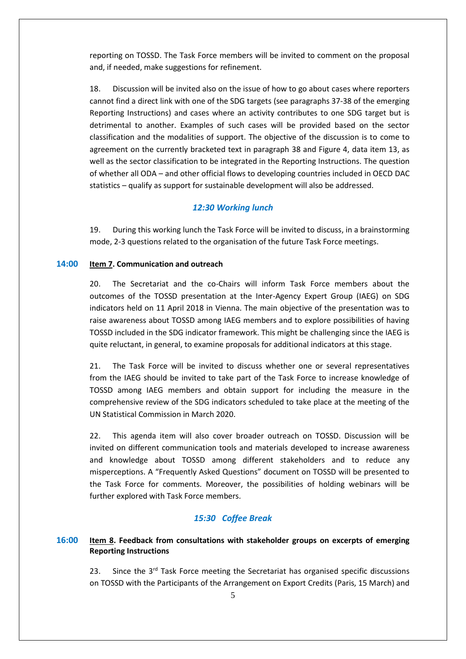reporting on TOSSD. The Task Force members will be invited to comment on the proposal and, if needed, make suggestions for refinement.

18. Discussion will be invited also on the issue of how to go about cases where reporters cannot find a direct link with one of the SDG targets (see paragraphs 37-38 of the emerging Reporting Instructions) and cases where an activity contributes to one SDG target but is detrimental to another. Examples of such cases will be provided based on the sector classification and the modalities of support. The objective of the discussion is to come to agreement on the currently bracketed text in paragraph 38 and Figure 4, data item 13, as well as the sector classification to be integrated in the Reporting Instructions. The question of whether all ODA – and other official flows to developing countries included in OECD DAC statistics – qualify as support for sustainable development will also be addressed.

### *12:30 Working lunch*

19. During this working lunch the Task Force will be invited to discuss, in a brainstorming mode, 2-3 questions related to the organisation of the future Task Force meetings.

### **14:00 Item 7. Communication and outreach**

20. The Secretariat and the co-Chairs will inform Task Force members about the outcomes of the TOSSD presentation at the Inter-Agency Expert Group (IAEG) on SDG indicators held on 11 April 2018 in Vienna. The main objective of the presentation was to raise awareness about TOSSD among IAEG members and to explore possibilities of having TOSSD included in the SDG indicator framework. This might be challenging since the IAEG is quite reluctant, in general, to examine proposals for additional indicators at this stage.

21. The Task Force will be invited to discuss whether one or several representatives from the IAEG should be invited to take part of the Task Force to increase knowledge of TOSSD among IAEG members and obtain support for including the measure in the comprehensive review of the SDG indicators scheduled to take place at the meeting of the UN Statistical Commission in March 2020.

22. This agenda item will also cover broader outreach on TOSSD. Discussion will be invited on different communication tools and materials developed to increase awareness and knowledge about TOSSD among different stakeholders and to reduce any misperceptions. A "Frequently Asked Questions" document on TOSSD will be presented to the Task Force for comments. Moreover, the possibilities of holding webinars will be further explored with Task Force members.

### *15:30 Coffee Break*

### **16:00 Item 8. Feedback from consultations with stakeholder groups on excerpts of emerging Reporting Instructions**

23. Since the 3<sup>rd</sup> Task Force meeting the Secretariat has organised specific discussions on TOSSD with the Participants of the Arrangement on Export Credits (Paris, 15 March) and